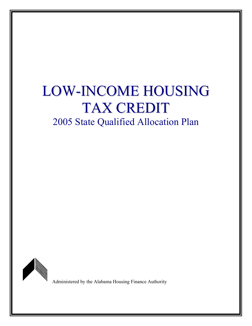# LOW-INCOME HOUSING TAX CREDIT 2005 State Qualified Allocation Plan



Administered by the Alabama Housing Finance Authority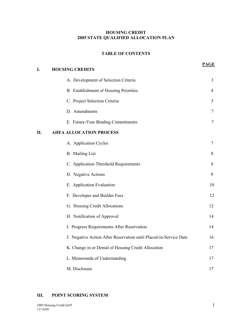#### **HOUSING CREDIT 2005 STATE QUALIFIED ALLOCATION PLAN**

#### **TABLE OF CONTENTS**

**PAGE**

| I. | <b>HOUSING CREDITS</b>                                            |                |
|----|-------------------------------------------------------------------|----------------|
|    | A. Development of Selection Criteria                              | 3              |
|    | B. Establishment of Housing Priorities                            | $\overline{4}$ |
|    | C. Project Selection Criteria                                     | 5              |
|    | D. Amendments                                                     | 7              |
|    | E. Future-Year Binding Commitments                                | 7              |
| Η. | <b>AHFA ALLOCATION PROCESS</b>                                    |                |
|    | A. Application Cycles                                             | 7              |
|    | <b>B.</b> Mailing List                                            | 8              |
|    | C. Application Threshold Requirements                             | 8              |
|    | D. Negative Actions                                               | 9              |
|    | E. Application Evaluation                                         | 10             |
|    | F. Developer and Builder Fees                                     | 12             |
|    | G. Housing Credit Allocations                                     | 12             |
|    | H. Notification of Approval                                       | 14             |
|    | I. Progress Requirements After Reservation                        | 14             |
|    | J. Negative Action After Reservation until Placed-in-Service Date | 16             |
|    | K. Change in or Denial of Housing Credit Allocation               | 17             |
|    | L. Memoranda of Understanding                                     | 17             |
|    | M. Disclosure                                                     | 17             |

#### **III. POINT SCORING SYSTEM**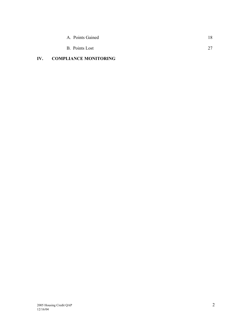| A. Points Gained | 18      |
|------------------|---------|
| B. Points Lost   | 27<br>∼ |

# **IV. COMPLIANCE MONITORING**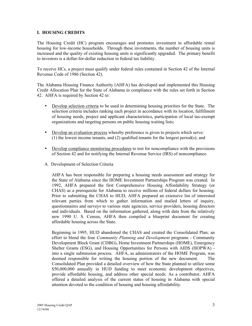#### **I. HOUSING CREDITS**

The Housing Credit (HC) program encourages and promotes investment in affordable rental housing for low-income households. Through these investments, the number of housing units is increased and the quality of existing housing units is significantly upgraded. The primary benefit to investors is a dollar-for-dollar reduction in federal tax liability.

To receive HCs, a project must qualify under federal rules contained in Section 42 of the Internal Revenue Code of 1986 (Section 42).

The Alabama Housing Finance Authority (AHFA) has developed and implemented this Housing Credit Allocation Plan for the State of Alabama in compliance with the rules set forth in Section 42. AHFA is required by Section 42 to:

- Develop selection criteria to be used in determining housing priorities for the State. The selection criteria includes ranking each project in accordance with its location, fulfillment of housing needs, project and applicant characteristics, participation of local tax-exempt organizations and targeting persons on public housing waiting lists;
- Develop an evaluation process whereby preference is given to projects which serve: (1) the lowest income tenants, and (2) qualified tenants for the longest period(s); and
- Develop compliance monitoring procedures to test for noncompliance with the provisions of Section 42 and for notifying the Internal Revenue Service (IRS) of noncompliance.
- A. Development of Selection Criteria

AHFA has been responsible for preparing a housing needs assessment and strategy for the State of Alabama since the HOME Investment Partnerships Program was created. In 1992, AHFA prepared the first Comprehensive Housing Affordability Strategy (or CHAS) as a prerequisite for Alabama to receive millions of federal dollars for housing. Prior to submitting the CHAS to HUD, AHFA prepared an extensive list of interested relevant parties from which to gather information and mailed letters of inquiry, questionnaires and surveys to various state agencies, service providers, housing directors and individuals. Based on the information gathered, along with data from the relatively new 1990 U. S. Census, AHFA then compiled a blueprint document for creating affordable housing across the State.

Beginning in 1995, HUD abandoned the CHAS and created the Consolidated Plan; an effort to blend the four *Community Planning and Development* programs - Community Development Block Grant (CDBG), Home Investment Partnerships (HOME), Emergency Shelter Grants (ESG), and Housing Opportunities for Persons with AIDS (HOPWA) into a single submission process. AHFA, as administrators of the HOME Program, was deemed responsible for writing the housing portion of the new document. The Consolidated Plan provided a detailed overview of how the State planned to utilize some \$50,000,000 annually in HUD funding to meet economic development objectives, provide affordable housing, and address other special needs. As a contributor, AHFA offered a detailed analysis of the current status of housing in Alabama with special attention devoted to the condition of housing and housing affordability.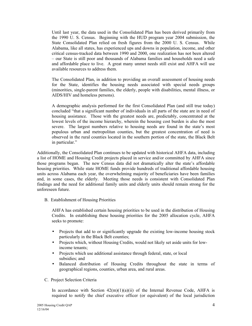Until last year, the data used in the Consolidated Plan has been derived primarily from the 1990 U. S. Census. Beginning with the HUD program year 2004 submission, the State Consolidated Plan relied on fresh figures from the 2000 U. S. Census. While Alabama, like all states, has experienced ups and downs in population, income, and other critical census-tracked data between 1990 and 2000, one realization has not been altered ñ our State is still poor and thousands of Alabama families and households need a safe and affordable place to live. A great many unmet needs still exist and AHFA will use available resources to address them.

The Consolidated Plan, in addition to providing an overall assessment of housing needs for the State, identifies the housing needs associated with special needs groups (minorities, single-parent families, the elderly, people with disabilities, mental illness, or AIDS/HIV and homeless persons).

A demographic analysis performed for the first Consolidated Plan (and still true today) concluded "that a significant number of individuals in all parts of the state are in need of housing assistance. Those with the greatest needs are, predictably, concentrated at the lowest levels of the income hierarchy, wherein the housing cost burden is also the most severe. The largest numbers relative to housing needs are found in the state's most populous urban and metropolitan counties, but the greatest concentration of need is observed in the rural counties located in the southern portion of the state, the Black Belt in particular."

Additionally, the Consolidated Plan continues to be updated with historical AHFA data, including a list of HOME and Housing Credit projects placed in service and/or committed by AHFA since those programs began. The new Census data did not dramatically alter the state's affordable housing priorities. While state HOME funds provide hundreds of traditional affordable housing units across Alabama each year, the overwhelming majority of beneficiaries have been families and, in some cases, the elderly. Meeting those needs is consistent with Consolidated Plan findings and the need for additional family units and elderly units should remain strong for the unforeseen future.

B. Establishment of Housing Priorities

AHFA has established certain housing priorities to be used in the distribution of Housing Credits. In establishing these housing priorities for the 2005 allocation cycle, AHFA seeks to promote:

- Projects that add to or significantly upgrade the existing low-income housing stock particularly in the Black Belt counties;
- Projects which, without Housing Credits, would not likely set aside units for low income tenants;
- Projects which use additional assistance through federal, state, or local subsidies; and
- Balanced distribution of Housing Credits throughout the state in terms of geographical regions, counties, urban area, and rural areas.
- C. Project Selection Criteria

In accordance with Section  $42(m)(1)(a)(ii)$  of the Internal Revenue Code, AHFA is required to notify the chief executive officer (or equivalent) of the local jurisdiction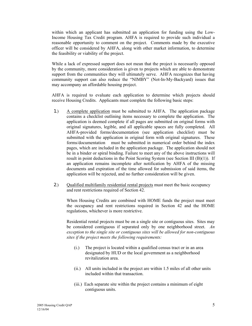within which an applicant has submitted an application for funding using the Low-Income Housing Tax Credit program. AHFA is required to provide such individual a reasonable opportunity to comment on the project. Comments made by the executive officer will be considered by AHFA, along with other market information, to determine the feasibility or viability of the project.

 While a lack of expressed support does not mean that the project is necessarily opposed by the community, more consideration is given to projects which are able to demonstrate support from the communities they will ultimately serve. AHFA recognizes that having community support can also reduce the "NIMBY" (Not-In-My-Backyard) issues that may accompany an affordable housing project.

AHFA is required to evaluate each application to determine which projects should receive Housing Credits. Applicants must complete the following basic steps:

- 1.) A complete application must be submitted to AHFA. The application package contains a checklist outlining items necessary to complete the application. The application is deemed complete if all pages are submitted on original forms with original signatures, legible, and all applicable spaces are fully completed. All AHFA-provided forms/documentation (see application checklist) must be submitted with the application in original form with original signatures. These forms/documentation must be submitted in numerical order behind the index pages, which are included in the application package. The application should not be in a binder or spiral binding. Failure to meet any of the above instructions will result in point deductions in the Point Scoring System (see Section III (B)(1)). If an application remains incomplete after notification by AHFA of the missing documents and expiration of the time allowed for submission of said items, the application will be rejected, and no further consideration will be given.
- 2.) Qualified multifamily residential rental projects must meet the basic occupancy and rent restrictions required of Section 42.

When Housing Credits are combined with HOME funds the project must meet the occupancy and rent restrictions required in Section 42 and the HOME regulations, whichever is more restrictive.

Residential rental projects must be on a single site or contiguous sites. Sites may be considered contiguous if separated only by one neighborhood street. *An exception to the single site or contiguous sites will be allowed for non-contiguous sites if the project meets the following requirements:*

- (i.) The project is located within a qualified census tract or in an area designated by HUD or the local government as a neighborhood revitalization area.
- (ii.) All units included in the project are within 1.5 miles of all other units included within that transaction.
- (iii.) Each separate site within the project contains a minimum of eight contiguous units.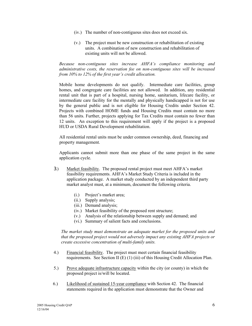- (iv.) The number of non-contiguous sites does not exceed six.
- (v.) The project must be new construction or rehabilitation of existing units. A combination of new construction and rehabilitation of existing units will not be allowed.

*Because non-contiguous sites increase AHFAís compliance monitoring and administrative costs, the reservation fee on non-contiguous sites will be increased from 10% to 12% of the first year's credit allocation.* 

Mobile home developments do not qualify. Intermediate care facilities, group homes, and congregate care facilities are not allowed. In addition, any residential rental unit that is part of a hospital, nursing home, sanitarium, lifecare facility, or intermediate care facility for the mentally and physically handicapped is not for use by the general public and is not eligible for Housing Credits under Section 42. Projects with combined HOME funds and Housing Credits must contain no more than 56 units. Further, projects applying for Tax Credits must contain no fewer than 12 units. An exception to this requirement will apply if the project is a proposed HUD or USDA Rural Development rehabilitation.

 All residential rental units must be under common ownership, deed, financing and property management.

Applicants cannot submit more than one phase of the same project in the same application cycle.

- 3.) Market feasibility. The proposed rental project must meet AHFA's market feasibility requirements. AHFA's Market Study Criteria is included in the application package. A market study conducted by an independent third party market analyst must, at a minimum, document the following criteria.
	- (i.) Project's market area;
	- (ii.) Supply analysis;
	- (iii.) Demand analysis;
	- (iv.) Market feasibility of the proposed rent structure;
	- (v.) Analysis of the relationship between supply and demand; and
	- (vi.) Summary of salient facts and conclusions.

*The market study must demonstrate an adequate market for the proposed units and that the proposed project would not adversely impact any existing AHFA projects or create excessive concentration of multi-family units.* 

- 4.) Financial feasibility. The project must meet certain financial feasibility requirements. See Section II (E) (1) (iii) of this Housing Credit Allocation Plan.
- 5.) Prove adequate infrastructure capacity within the city (or county) in which the proposed project is/will be located.
- 6.) Likelihood of sustained 15-year compliance with Section 42. The financial statements required in the application must demonstrate that the Owner and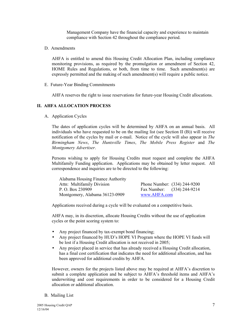Management Company have the financial capacity and experience to maintain compliance with Section 42 throughout the compliance period.

D. Amendments

AHFA is entitled to amend this Housing Credit Allocation Plan, including compliance monitoring provisions, as required by the promulgation or amendment of Section 42, HOME Rules and Regulations, or both, from time to time. Such amendment(s) are expressly permitted and the making of such amendment(s) will require a public notice.

E. Future-Year Binding Commitments

AHFA reserves the right to issue reservations for future-year Housing Credit allocations.

#### **II. AHFA ALLOCATION PROCESS**

A. Application Cycles

The dates of application cycles will be determined by AHFA on an annual basis. All individuals who have requested to be on the mailing list (see Section II (B)) will receive notification of the cycles by mail or e-mail. Notice of the cycle will also appear in *The Birmingham News*, *The Huntsville Times*, *The Mobile Press Register* and *The Montgomery Advertiser*.

Persons wishing to apply for Housing Credits must request and complete the AHFA Multifamily Funding application. Applications may be obtained by letter request. All correspondence and inquiries are to be directed to the following:

| Alabama Housing Finance Authority |              |                              |
|-----------------------------------|--------------|------------------------------|
| Attn: Multifamily Division        |              | Phone Number: (334) 244-9200 |
| P. O. Box 230909                  |              | Fax Number: (334) 244-9214   |
| Montgomery, Alabama 36123-0909    | www.AHFA.com |                              |

Applications received during a cycle will be evaluated on a competitive basis.

 AHFA may, in its discretion, allocate Housing Credits without the use of application cycles or the point scoring system to:

- Any project financed by tax-exempt bond financing;
- Any project financed by HUD's HOPE VI Program where the HOPE VI funds will be lost if a Housing Credit allocation is not received in 2005;
- Any project placed in service that has already received a Housing Credit allocation, has a final cost certification that indicates the need for additional allocation, and has been approved for additional credits by AHFA.

However, owners for the projects listed above may be required at AHFA's discretion to submit a complete application and be subject to AHFA's threshold items and AHFA's underwriting and cost requirements in order to be considered for a Housing Credit allocation or additional allocation.

B. Mailing List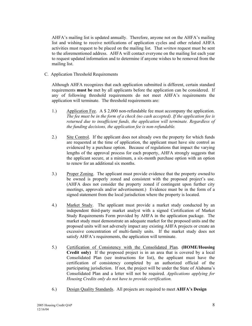AHFA's mailing list is updated annually. Therefore, anyone not on the AHFA's mailing list and wishing to receive notifications of application cycles and other related AHFA activities must request to be placed on the mailing list. That *written* request must be sent to the aforementioned address. AHFA will contact everyone on the mailing list each year to request updated information and to determine if anyone wishes to be removed from the mailing list.

C. Application Threshold Requirements

Although AHFA recognizes that each application submitted is different, certain standard requirements **must be** met by all applicants before the application can be considered. If any of following threshold requirements do not meet AHFA's requirements the application will terminate. The threshold requirements are:

- 1.) Application Fee. A \$ 2,000 non-refundable fee must accompany the application. *The fee must be in the form of a check (no cash accepted). If the application fee is returned due to insufficient funds, the application will terminate. Regardless of the funding decisions, the application fee is non-refundable.*
- 2.) Site Control. If the applicant does not already own the property for which funds are requested at the time of application, the applicant must have site control as evidenced by a purchase option. Because of regulations that impact the varying lengths of the approval process for each property, AHFA strongly suggests that the applicant secure, at a minimum, a six-month purchase option with an option to renew for an additional six months.
- 3.) Proper Zoning. The applicant must provide evidence that the property owned/to be owned is properly zoned and consistent with the proposed project's use. (AHFA does not consider the property zoned if contingent upon further city meetings, approvals and/or advertisement.) Evidence must be in the form of a signed statement from the local jurisdiction where the property is located.
- 4.) Market Study. The applicant must provide a market study conducted by an independent third-party market analyst with a signed Certification of Market Study Requirements Form provided by AHFA in the application package. The market study must demonstrate an adequate market for the proposed units and the proposed units will not adversely impact any existing AHFA projects or create an excessive concentration of multi-family units. If the market study does not satisfy AHFA's requirements, the application will terminate.
- 5.) Certification of Consistency with the Consolidated Plan. **(HOME/Housing Credit only)** If the proposed project is in an area that is covered by a local Consolidated Plan (see instructions for list), the applicant must have the certification of consistency completed by an authorized official of the participating jurisdiction. If not, the project will be under the State of Alabama's Consolidated Plan and a letter will not be required. *Applications applying for Housing Credits only do not have to provide certification.*
- 6.) Design Quality Standards. All projects are required to meet **AHFAís Design**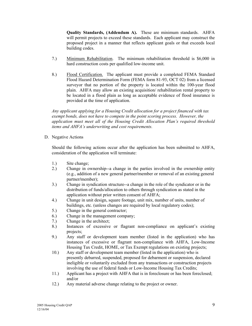**Quality Standards, (Addendum A).** These are minimum standards. AHFA will permit projects to exceed these standards. Each applicant may construct the proposed project in a manner that reflects applicant goals or that exceeds local building codes.

- 7.) Minimum Rehabilitation. The minimum rehabilitation threshold is \$6,000 in hard construction costs per qualified low-income unit.
- 8.) Flood Certification. The applicant must provide a completed FEMA Standard Flood Hazard Determination Form (FEMA form 81-93, OCT 02) from a licensed surveyor that no portion of the property is located within the 100-year flood plain. AHFA may allow an existing acquisition/ rehabilitation rental property to be located in a flood plain as long as acceptable evidence of flood insurance is provided at the time of application.

 *Any applicant applying for a Housing Credit allocation for a project financed with tax exempt bonds, does not have to compete in the point scoring process. However, the application must meet all of the Housing Credit Allocation Planís required threshold*  items and AHFA's underwriting and cost requirements.

D. Negative Actions

Should the following actions occur after the application has been submitted to AHFA, consideration of the application will terminate:

- 1.) Site change;
- 2.) Change in ownership--a change in the parties involved in the ownership entity (e.g., addition of a new general partner**/**member or removal of an existing general partner**/**member);
- 3.) Change in syndication structure--a change in the role of the syndicator or in the distribution of funds/allocation to others through syndication as stated in the application without prior written consent of AHFA;
- 4.) Change in unit design, square footage, unit mix, number of units, number of buildings, etc. (unless changes are required by local regulatory codes);
- 5.) Change in the general contractor;
- 6.) Change in the management company;
- 7.) Change in the architect;
- 8.) Instances of excessive or flagrant non-compliance on applicant's existing projects;
- 9.) Any staff or development team member (listed in the application) who has instances of excessive or flagrant non-compliance with AHFA, Low-Income Housing Tax Credit, HOME, or Tax Exempt regulations on existing projects;
- 10.) Any staff or development team member (listed in the application) who is presently debarred, suspended, proposed for debarment or suspension, declared ineligible or voluntarily excluded from any transactions or construction projects involving the use of federal funds or Low-Income Housing Tax Credits;
- 11.) Applicant has a project with AHFA that is in foreclosure or has been foreclosed; and/or
- 12.) Any material adverse change relating to the project or owner.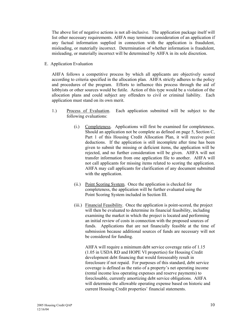The above list of negative actions is not all-inclusive. The application package itself will list other necessary requirements. AHFA may terminate consideration of an application if any factual information supplied in connection with the application is fraudulent, misleading, or materially incorrect. Determination of whether information is fraudulent, misleading, or materially incorrect will be determined by AHFA in its sole discretion.

E. Application Evaluation

AHFA follows a competitive process by which all applicants are objectively scored according to criteria specified in the allocation plan. AHFA strictly adheres to the policy and procedures of the program. Efforts to influence this process through the aid of lobbyists or other sources would be futile. Action of this type would be a violation of the allocation plans and could subject any offenders to civil or criminal liability. Each application must stand on its own merit.

- 1.) Process of Evaluation. Each application submitted will be subject to the following evaluations:
	- (i.) Completeness. Applications will first be examined for completeness. Should an application not be complete as defined on page 5, Section C, Part 1 of this Housing Credit Allocation Plan, it will receive point deductions. If the application is still incomplete after time has been given to submit the missing or deficient items, the application will be rejected, and no further consideration will be given. AHFA will not transfer information from one application file to another. AHFA will not call applicants for missing items related to scoring the application. AHFA may call applicants for clarification of any document submitted with the application.
	- (ii.) Point Scoring System. Once the application is checked for completeness, the application will be further evaluated using the Point Scoring System included in Section III.
	- (iii.) Financial Feasibility. Once the application is point-scored, the project will then be evaluated to determine its financial feasibility, including examining the market in which the project is located and performing an initial review of costs in connection with the proposed sources of funds. Applications that are not financially feasible at the time of submission because additional sources of funds are necessary will not be considered for funding.

 AHFA will require a minimum debt service coverage ratio of 1.15 (1.05 in USDA RD and HOPE VI properties) for Housing Credit development debt financing that would foreseeably result in foreclosure if not repaid. For purposes of this standard, debt service coverage is defined as the ratio of a property's net operating income (rental income less operating expenses and reserve payments) to foreclosable, currently amortizing debt service obligations. AHFA will determine the allowable operating expense based on historic and current Housing Credit properties' financial statements.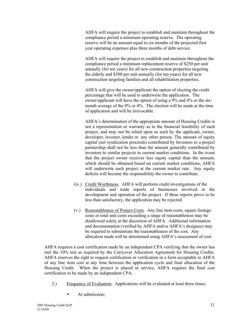AHFA will require the project to establish and maintain throughout the compliance period a minimum operating reserve. The operating reserve will be an amount equal to six months of the projected first year operating expenses plus three months of debt service.

 AHFA will require the project to establish and maintain throughout the compliance period a minimum replacement reserve of \$250 per unit annually (for ten years) for all new construction properties targeting the elderly and \$300 per unit annually (for ten years) for all new construction targeting families and all rehabilitation properties.

 AHFA will give the owner/applicant the option of electing the credit percentage that will be used to underwrite the application. The owner/applicant will have the option of using a 9% and 4% or the six month average of the 9% or 4%. The election will be made at the time of application and will be irrevocable.

AHFA's determination of the appropriate amount of Housing Credits is not a representation or warranty as to the financial feasibility of such project, and may not be relied upon as such by the applicant, owner, developer, investor, lender or any other person. The amount of equity capital (net syndication proceeds) contributed by Investors to a project partnership shall not be less than the amount generally contributed by investors to similar projects in current market conditions. In the event that the project owner receives less equity capital than the amount, which should be obtained based on current market conditions, AHFA will underwrite each project at the current market rate. Any equity deficits will become the responsibility the owner to contribute.

- (iv.) Credit Worthiness. AHFA will perform credit investigations of the individuals and trade reports of businesses involved in the development and operation of the project. If these reports prove to be less than satisfactory, the application may be rejected.
- (v.) Reasonableness of Project Costs. Any line item costs, square footage costs or total unit costs exceeding a range of reasonableness may be disallowed solely at the discretion of AHFA. Additional information and documentation (verified by AHFA and/or AHFA's designee) may be required to substantiate the reasonableness of the cost. Any allocation made will be determined using AHFA's assessment of cost.

AHFA requires a cost certification made by an independent CPA verifying that the owner has met the 10% test as required by the Carryover Allocation Agreement for Housing Credits. AHFA reserves the right to request certification or verification in a form acceptable to AHFA of any line item cost at any time between the application cycle and final allocation of the Housing Credit. When the project is placed in service, AHFA requires the final cost certification to be made by an independent CPA.

- 2.) Frequency of Evaluation. Applications will be evaluated at least three times:
	- At submission;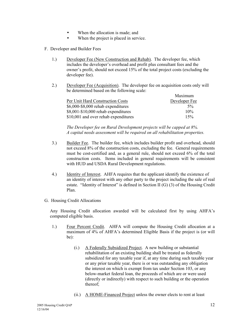- When the allocation is made; and
- When the project is placed in service.
- F. Developer and Builder Fees
	- 1.) Developer Fee (New Construction and Rehab). The developer fee, which includes the developer's overhead and profit plus consultant fees and the owner's profit, should not exceed 15% of the total project costs (excluding the developer fee).
	- 2.) Developer Fee (Acquisition). The developer fee on acquisition costs only will be determined based on the following scale:

|                                      | Maximum       |
|--------------------------------------|---------------|
| Per Unit Hard Construction Costs     | Developer Fee |
| $$6,000$ -\$8,000 rehab expenditures | $5\%$         |
| $$8,001-\$10,000$ rehab expenditures | 10%           |
| \$10,001 and over rehab expenditures | 15%           |

 *The Developer fee on Rural Development projects will be capped at 8%. A capital needs assessment will be required on all rehabilitation properties.* 

- 3.) Builder Fee. The builder fee, which includes builder profit and overhead, should not exceed 8% of the construction costs, excluding the fee. General requirements must be cost-certified and, as a general rule, should not exceed 6% of the total construction costs. Items included in general requirements will be consistent with HUD and USDA Rural Development regulations.
- 4.) Identity of Interest. AHFA requires that the applicant identify the existence of an identity of interest with any other party to the project including the sale of real estate. "Identity of Interest" is defined in Section II (G) (3) of the Housing Credit Plan.
- G. Housing Credit Allocations

Any Housing Credit allocation awarded will be calculated first by using AHFAís computed eligible basis.

- 1.) Four Percent Credit. AHFA will compute the Housing Credit allocation at a maximum of 4% of AHFA's determined Eligible Basis if the project is (or will be):
	- (i.) A Federally Subsidized Project. A new building or substantial rehabilitation of an existing building shall be treated as federally subsidized for any taxable year if, at any time during such taxable year or any prior taxable year, there is or was outstanding any obligation the interest on which is exempt from tax under Section 103, or any below-market federal loan, the proceeds of which are or were used (directly or indirectly) with respect to such building or the operation thereof;
	- (ii.) A HOME-Financed Project unless the owner elects to rent at least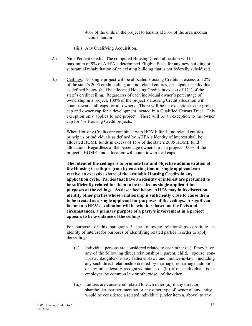40% of the units in the project to tenants at 50% of the area median income; and/or

- (iii.) Any Qualifying Acquisition.
- 2.) Nine Percent Credit. The computed Housing Credit allocation will be a maximum of 9% of AHFA's determined Eligible Basis for any new building or substantial rehabilitation of an existing building that is not federally subsidized.
- 3.) Ceilings. No single project will be allocated Housing Credits in excess of 12% of the state's 2005 credit ceiling, and no related entities, principals or individuals as defined below shall be allocated Housing Credits in excess of 12% of the state's credit ceiling. Regardless of each individual owner's percentage of ownership in a project, 100% of the project's Housing Credit allocation will count towards all caps for all owners. There will be an exception to the project cap and owner cap for a development located in a Qualified Census Tract. This exception only applies to one project. There will be an exception to the owner cap for 4% Housing Credit projects.

 When Housing Credits are combined with HOME funds, no related entities, principals or individuals as defined by AHFA's identity of interest shall be allocated HOME funds in excess of 15% of the state's 2005 HOME fund allocation. Regardless of the percentage ownership in a project, 100% of the project's HOME fund allocation will count towards all caps.

 **The intent of the ceilings is to promote fair and objective administration of the Housing Credit program by ensuring that no single applicant can receive an excessive share of the available Housing Credits in any application cycle. Parties that have an identity of interest are presumed to be sufficiently related for them to be treated as single applicant for purposes of the ceilings. As described below, AHFA may in its discretion identify other parties whose relationship is sufficiently close to cause them to be treated as a single applicant for purposes of the ceilings. A significant**  factor in AHFA's evaluation will be whether, based on the facts and  **circumstances, a primary purpose of a partyís involvement in a project appears to be avoidance of the ceilings.** 

For purposes of this paragraph 3, the following relationships constitute an identity of interest for purposes of identifying related parties in order to apply the ceilings:

- (i.) Individual persons are considered related to each other (a.) if they have any of the following direct relationships: parent, child, , spouse, sonin-law, daughter-in-law, father-in-law, and mother-in-law., including any such direct relationship created by marriage, remarriage, adoption, or any other legally recognized status, or (b.) if one individual is an employer, by common law or otherwise, of the other.
- (ii.) Entities are considered related to each other (a.) if any director, shareholder, partner, member or any other type of owner of any entity would be considered a related individual (under item a. above) to any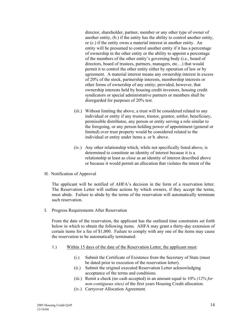director, shareholder, partner, member or any other type of owner of another entity, (b.) if the entity has the ability to control another entity, or (c.) if the entity owns a material interest in another entity. An entity will be presumed to control another entity if it has a percentage of ownership in the other entity or the ability to appoint a percentage of the members of the other entity's governing body (i.e., board of directors, board of trustees, partners, managers, etc...) that would permit it to control the other entity either by operation of law or by agreement. A material interest means any ownership interest in excess of 20% of the stock, partnership interests, membership interests or other forms of ownership of any entity; provided, however, that ownership interests held by housing credit investors, housing credit syndicators or special administrative partners or members shall be disregarded for purposes of 20% test.

- (iii.) Without limiting the above, a trust will be considered related to any individual or entity if any trustee, trustor, grantor, settlor, beneficiary, permissible distributee, any person or entity serving a role similar to the foregoing, or any person holding power of appointment (general or limited) over trust property would be considered related to the individual or entity under items a. or b. above.
- (iv.) Any other relationship which, while not specifically listed above, is determined to constitute an identity of interest because it is a relationship at least as close as an identity of interest described above or because it would permit an allocation that violates the intent of the
- H. Notification of Approval

The applicant will be notified of AHFA's decision in the form of a reservation letter. The Reservation Letter will outline actions by which owners, if they accept the terms, must abide. Failure to abide by the terms of the reservation will automatically terminate such reservation.

I. Progress Requirements After Reservation

From the date of the reservation, the applicant has the outlined time constraints set forth below in which to obtain the following items. AHFA may grant a thirty-day extension of certain items for a fee of \$1,000. Failure to comply with any one of the items may cause the reservation to be automatically terminated:

- 1.) Within 15 days of the date of the Reservation Letter, the applicant must:
	- (i.) Submit the Certificate of Existence from the Secretary of State (must be dated prior to execution of the reservation letter).
	- (ii.) Submit the original executed Reservation Letter acknowledging acceptance of the terms and conditions.
	- (iii.) Remit a check (no cash accepted) in an amount equal to 10% *(12% for non-contiguous sites)* of the first years Housing Credit allocation.
	- (iv.) Carryover Allocation Agreement.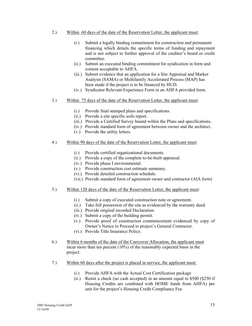- 2.) Within 60 days of the date of the Reservation Letter, the applicant must:
	- (i.) Submit a legally binding commitment for construction and permanent financing which details the specific terms of funding and repayment and is not subject to further approval of the creditor's board or credit committee.
	- (ii.) Submit an executed binding commitment for syndication in form and content acceptable to AHFA.
	- (iii.) Submit evidence that an application for a Site Appraisal and Market Analysis (SAMA) or Multifamily Accelerated Process (MAP) has been made if the project is to be financed by HUD.
	- (iv.) Syndicator Relevant Experience Form in an AHFA provided form.
- 3.) Within 75 days of the date of the Reservation Letter, the applicant must:
	- (i.) Provide final stamped plans and specifications.
	- (ii.) Provide a site specific soils report.
	- (iii.) Provide a Certified Survey bound within the Plans and specifications.
	- (iv.) Provide standard form of agreement between owner and the architect.
	- (v.) Provide the utility letters.
- 4.) Within 90 days of the date of the Reservation Letter, the applicant must:
	- (i.) Provide certified organizational documents.
	- (ii.) Provide a copy of the complete to-be-built appraisal.
	- (iv.) Provide phase I environmental.
	- (v.) Provide construction cost estimate summary.
	- (vi.) Provide detailed construction schedule.
	- (vii.) Provide standard form of agreement owner and contractor (AIA form)
- 5.) Within 120 days of the date of the Reservation Letter, the applicant must:
	- (i.) Submit a copy of executed construction note or agreement.
	- (ii.) Take full possession of the site as evidenced by the warranty deed.
	- (iii.) Provide original recorded Declaration.
	- (iv.) Submit a copy of the building permit.
	- (v.) Provide proof of construction commencement evidenced by copy of Owner's Notice to Proceed to project's General Contractor.
	- (vi.) Provide Title Insurance Policy.
- 6.) Within 6 months of the date of the Carryover Allocation, the applicant must incur more than ten percent (10%) of the reasonably expected basis in the project.
- 7.) Within 60 days after the project is placed in service, the applicant must:
	- (i.) Provide AHFA with the Actual Cost Certification package
	- (ii.) Remit a check (no cash accepted) in an amount equal to \$500 (\$250 if Housing Credits are combined with HOME funds from AHFA) per unit for the project's Housing Credit Compliance Fee.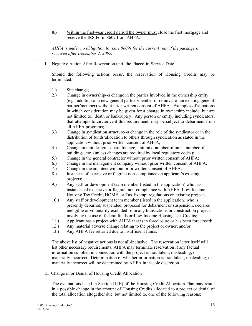8.) Within the first-year credit period the owner must close the first mortgage and receive the IRS Form 8609 from AHFA.

 *AHFA is under no obligation to issue 8609s for the current year if the package is received after December 2, 2005.* 

J. Negative Action After Reservation until the Placed-in-Service Date

Should the following actions occur, the reservation of Housing Credits may be terminated:

1.) Site change;

*.* 

- 2.) Change in ownership--a change in the parties involved in the ownership entity (e.g., addition of a new general partner**/**member or removal of an existing general partner**/**member) without prior written consent of AHFA. Examples of situations in which consideration may be given for a change in ownership include, but are not limited to: death or bankruptcy. Any person or entity, including syndicators, that attempts to circumvent this requirement, may be subject to debarment from all AHFA programs;
- 3.) Change in syndication structure--a change in the role of the syndicator or in the distribution of funds/allocation to others through syndication as stated in the application without prior written consent of AHFA;
- 4.) Change in unit design, square footage, unit mix, number of units, number of buildings, etc. (unless changes are required by local regulatory codes);
- 5.) Change in the general contractor without prior written consent of AHFA;
- 6.) Change in the management company without prior written consent of AHFA;
- 7.) Change in the architect without prior written consent of AHFA;
- 8.) Instances of excessive or flagrant non-compliance on applicant's existing projects;
- 9.) Any staff or development team member (listed in the application) who has instances of excessive or flagrant non-compliance with AHFA, Low-Income Housing Tax Credit, HOME, or Tax Exempt regulations on existing projects;
- 10.) Any staff or development team member (listed in the application) who is presently debarred, suspended, proposed for debarment or suspension, declared ineligible or voluntarily excluded from any transactions or construction projects involving the use of federal funds or Low-Income Housing Tax Credits;
- 11.) Applicant has a project with AHFA that is in foreclosure or has been foreclosed;
- 12.) Any material adverse change relating to the project or owner; and/or
- 13.) Any AHFA fee returned due to insufficient funds.

 The above list of negative actions is not all-inclusive. The reservation letter itself will list other necessary requirements. AHFA may terminate reservation if any factual information supplied in connection with the project is fraudulent, misleading, or materially incorrect. Determination of whether information is fraudulent, misleading, or materially incorrect will be determined by AHFA in its sole discretion.

K. Change in or Denial of Housing Credit Allocation

The evaluations listed in Section II (E) of the Housing Credit Allocation Plan may result in a possible change in the amount of Housing Credits allocated to a project or denial of the total allocation altogether due, but not limited to, one of the following reasons: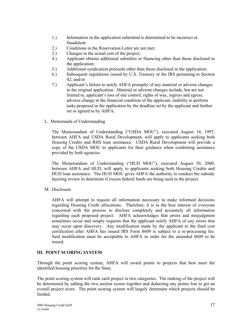- 1.) Information in the application submitted is determined to be incorrect or fraudulent;
- 2.) Conditions in the Reservation Letter are not met;
- 3.) Changes in the actual cost of the project;
- 4.) Applicant obtains additional subsidies or financing other than those disclosed in the application;
- 5.) Additional syndication proceeds other than those disclosed in the application;
- 6.) Subsequent regulations issued by U.S. Treasury or the IRS pertaining to Section 42; and/or
- 7.) Applicant's failure to notify AHFA promptly of any material or adverse changes in the original application. Material or adverse changes include, but are not limited to, applicant's loss of site control, rights of way, ingress and egress, adverse change in the financial condition of the applicant, inability to perform tasks proposed in the application by the deadline set by the applicant and further set or agreed to by AHFA.
- L. Memoranda of Understanding

The Memorandum of Understanding ("USDA MOU"), executed August 14, 1997, between AHFA and USDA Rural Development, will apply to applicants seeking both Housing Credits and RHS loan assistance. USDA Rural Development will provide a copy of the USDA MOU to applicants for their guidance when combining assistance provided by both agencies.

The Memorandum of Understanding ("HUD MOU"), executed August 30, 2000, between AHFA and HUD, will apply to applicants seeking both Housing Credits and HUD loan assistance. The HUD MOU gives AHFA the authority to conduct the subsidy layering review to determine if excess federal funds are being used in the project.

M. Disclosure

AHFA will attempt to request all information necessary to make informed decisions regarding Housing Credit allocations. Therefore, it is in the best interest of everyone concerned with the process to disclose completely and accurately all information regarding each proposed project. AHFA acknowledges that errors and misjudgment sometimes occur and simply requests that the applicant notify AHFA of any errors that may occur upon discovery. Any modification made by the applicant to the final cost certification after AHFA has issued IRS Form 8609 is subject to a re-processing fee. Said modification must be acceptable to AHFA in order for the amended 8609 to be issued.

#### **III. POINT SCORING SYSTEM**

Through the point scoring system, AHFA will award points to projects that best meet the identified housing priorities for the State.

The point scoring system will rank each project in two categories. The ranking of the project will be determined by adding the two section scores together and deducting any points lost to get an overall project score. The point scoring system will largely determine which projects should be funded.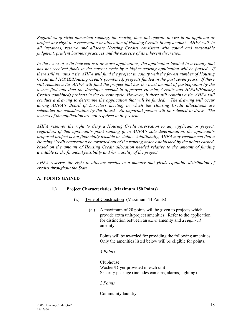*Regardless of strict numerical ranking, the scoring does not operate to vest in an applicant or project any right to a reservation or allocation of Housing Credits in any amount. AHFA will, in all instances, reserve and allocate Housing Credits consistent with sound and reasonable judgment, prudent business practices and the exercise of its inherent discretion.* 

In the event of a tie between two or more applications, the application located in a county that *has not received funds in the current cycle by a higher scoring application will be funded. If there still remains a tie, AHFA will fund the project in county with the fewest number of Housing Credit and HOME/Housing Credits (combined) projects funded in the past seven years. If there still remains a tie, AHFA will fund the project that has the least amount of participation by the owner first and then the developer second in approved Housing Credits and HOME/Housing Credits(combined) projects in the current cycle. However, if there still remains a tie, AHFA will conduct a drawing to determine the application that will be funded. The drawing will occur during AHFAís Board of Directors meeting in which the Housing Credit allocations are scheduled for consideration by the Board. An impartial person will be selected to draw. The owners of the application are not required to be present.* 

*AHFA reserves the right to deny a Housing Credit reservation to any applicant or project, regardless of that applicant's point ranking if, in AHFA's sole determination, the applicant's proposed project is not financially feasible or viable. Additionally, AHFA may recommend that a Housing Credit reservation be awarded out of the ranking order established by the points earned,*  based on the amount of Housing Credit allocation needed relative to the amount of funding *available or the financial feasibility and /or viability of the project.* 

*AHFA reserves the right to allocate credits in a manner that yields equitable distribution of credits throughout the State.* 

#### **A. POINTS GAINED**

#### **1.) Project Characteristics (Maximum 150 Points)**

- (i.) Type of Construction (Maximum 44 Points)
	- (a.) A maximum of 20 points will be given to projects which provide extra unit/project amenities. Refer to the application for distinction between an *extra* amenity and a *required* amenity.

Points will be awarded for providing the following amenities. Only the amenities listed below will be eligible for points.

#### *3 Points*

 Clubhouse Washer/Dryer provided in each unit Security package (includes cameras, alarms, lighting)

#### *2 Points*

Community laundry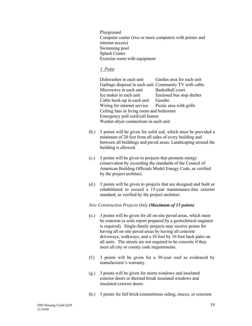Playground Computer center (two or more computers with printer and internet access) Swimming pool Splash Center Exercise room with equipment

#### *1 Point*

Dishwasher in each unit Garden area for each unit Garbage disposal in each unit Community TV with cable Microwave in each unit Basketball court Ice maker in each unit Enclosed bus stop shelter Cable hook-up in each unit Gazebo Wiring for internet service Picnic area with grills Ceiling fans in living room and bedrooms Emergency pull cord/call button Washer-dryer connections in each unit

- (b.) 3 points will be given for solid sod, which must be provided a minimum of 20 feet from all sides of every building and between all buildings and paved areas. Landscaping around the building is allowed.
- (c.) 3 points will be given to projects that promote energy conservation by exceeding the standards of the Council of American Building Officials Model Energy Code, as verified by the project architect.
- (d.) 3 points will be given to projects that are designed and built or rehabilitated to exceed a 15-year maintenance-free exterior standard, as verified by the project architect.

#### *New Construction Projects Only (Maximum of 15 points)*

- (e.) 3 points will be given for all on-site paved areas, which must be concrete (a soils report prepared by a geotechnical engineer is required). Single-family projects may receive points for having all on-site paved areas by having all concrete driveways, walkways, and a 10 foot by 10 foot back patio on all units. The streets are not required to be concrete if they meet all city or county code requirements.
- (f.) 3 points will be given for a 30-year roof as evidenced by manufacturer's warranty.
- (g.) 3 points will be given for storm windows and insulated exterior doors or thermal break insulated windows and insulated exterior doors.
- (h.) 3 points for full brick/cementitious siding, stucco, or concrete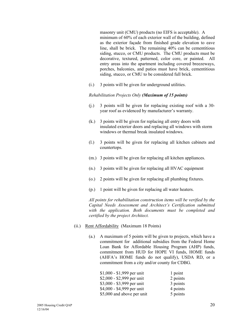masonry unit (CMU) products (no EIFS is acceptable). A minimum of 60% of each exterior wall of the building, defined as the exterior façade from finished grade elevation to eave line, shall be brick. The remaining 40% can be cementitious siding, stucco, or CMU products. The CMU products must be decorative, textured, patterned, color core, or painted. All entry areas into the apartment including covered breezeways, porches, balconies, and patios must have brick, cementitious siding, stucco, or CMU to be considered full brick.

(i.) 3 points will be given for underground utilities.

#### *Rehabilitation Projects Only (Maximum of 15 points)*

- (j.) 3 points will be given for replacing existing roof with a 30 year roof as evidenced by manufacturer's warranty.
- (k.) 3 points will be given for replacing all entry doors with insulated exterior doors and replacing all windows with storm windows or thermal break insulated windows.
- (l.) 3 points will be given for replacing all kitchen cabinets and countertops.
- (m.) 3 points will be given for replacing all kitchen appliances.
- (n.) 3 points will be given for replacing all HVAC equipment
- (o.) 2 points will be given for replacing all plumbing fixtures.
- (p.) 1 point will be given for replacing all water heaters.

 *All points for rehabilitation construction items will be verified by the*  Capital Needs Assessment and Architect's Certification submitted *with the application. Both documents must be completed and certified by the project Architect.* 

- (ii.) Rent Affordability (Maximum 18 Points)
	- (a.) A maximum of 5 points will be given to projects, which have a commitment for additional subsidies from the Federal Home Loan Bank for Affordable Housing Program (AHP) funds, commitment from HUD for HOPE VI funds, HOME funds (AHFA's HOME funds do not qualify), USDA RD, or a commitment from a city and/or county for CDBG.

| $$1,000 - $1,999$ per unit | 1 point  |
|----------------------------|----------|
| \$2,000 - \$2,999 per unit | 2 points |
| $$3,000 - $3,999$ per unit | 3 points |
| \$4,000 - \$4,999 per unit | 4 points |
| \$5,000 and above per unit | 5 points |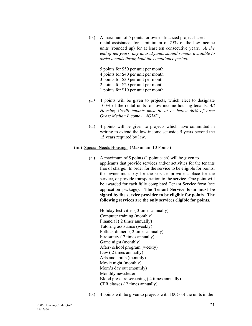- (b.) A maximum of 5 points for owner-financed project-based rental assistance, for a minimum of 25% of the low-income units (rounded up) for at least ten consecutive years. *At the end of ten years, any unused funds should remain available to assist tenants throughout the compliance period.*
	- 5 points for \$50 per unit per month
	- 4 points for \$40 per unit per month
	- 3 points for \$30 per unit per month
	- 2 points for \$20 per unit per month
	- 1 points for \$10 per unit per month
- *(c.)* 4 points will be given to projects, which elect to designate 100% of the rental units for low-income housing tenants. *All Housing Credit tenants must be at or below 60% of Area Gross Median Income ("AGMI").*
- (d.) 4 points will be given to projects which have committed in writing to extend the low-income set-aside 5 years beyond the 15 years required by law.
- (iii.) Special Needs Housing (Maximum 10 Points)
	- (a.) A maximum of 5 points (1 point each) will be given to applicants that provide services and/or activities for the tenants free of charge. In order for the service to be eligible for points, the owner must pay for the service, provide a place for the service, or provide transportation to the service. One point will be awarded for each fully completed Tenant Service form (see application package). **The Tenant Service form must be signed by the service provider to be eligible for points. The following services are the only services eligible for points.**

 Holiday festivities ( 3 times annually) Computer training (monthly) Financial ( 2 times annually) Tutoring assistance (weekly) Potluck dinners ( 2 times annually) Fire safety ( 2 times annually) Game night (monthly) After- school program (weekly) Law ( 2 times annually) Arts and crafts (monthly) Movie night (monthly) Mom's day out (monthly) Monthly newsletter Blood pressure screening ( 4 times annually) CPR classes ( 2 times annually)

(b.) 4 points will be given to projects with 100% of the units in the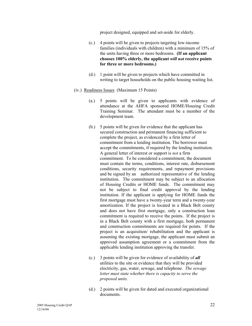project designed, equipped and set-aside for elderly.

- (c.) 4 points will be given to projects targeting low-income families (individuals with children) with a minimum of 15% of the units having three or more bedrooms. **(If an applicant chooses 100% elderly, the applicant** *will not* **receive points for three or more bedrooms.)**
- (d.) 1 point will be given to projects which have committed in writing to target households on the public housing waiting list.
- (iv.) Readiness Issues (Maximum 15 Points)
	- (a.) 5 points will be given to applicants with evidence of attendance at the AHFA sponsored HOME/Housing Credit Training Seminar. The attendant must be a member of the development team.
	- (b.) 5 points will be given for evidence that the applicant has secured construction and permanent financing sufficient to complete the project, as evidenced by a firm letter of commitment from a lending institution. The borrower must accept the commitments, if required by the lending institution. A general letter of interest or support is *not* a firm commitment. To be considered a commitment, the document must contain the terms, conditions, interest rate, disbursement conditions, security requirements, and repayment provisions and be signed by an authorized representative of the lending institution. The commitment may be subject to an allocation of Housing Credits or HOME funds. The commitment may not be subject to final credit approval by the lending institution. If the applicant is applying for HOME funds the first mortgage must have a twenty-year term and a twenty-year amortization. If the project is located in a Black Belt county and does not have first mortgage, only a construction loan commitment is required to receive the points. If the project is in a Black Belt county with a first mortgage, both permanent and construction commitments are required for points. If the project is an acquisition/ rehabilitation and the applicant is assuming the existing mortgage, the applicant must submit an approved assumption agreement or a commitment from the applicable lending institution approving the transfer.
	- (c.) 3 points will be given for evidence of availability of *all* utilities to the site or evidence that they will be provided electricity, gas, water, sewage, and telephone. *The sewage letter must state whether there is capacity to serve the proposed units.*
	- (d.) 2 points will be given for dated and executed organizational documents.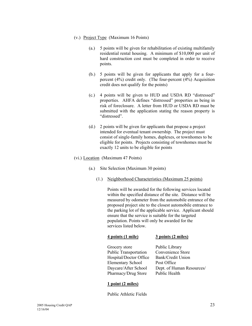- (v.) Project Type (Maximum 16 Points)
	- (a.) 5 points will be given for rehabilitation of existing multifamily residential rental housing. A minimum of \$10,000 per unit of hard construction cost must be completed in order to receive points.
	- (b.) 5 points will be given for applicants that apply for a fourpercent (4%) credit only. (The four-percent (4%) Acquisition credit does not qualify for the points)
	- $(c.)$  4 points will be given to HUD and USDA RD "distressed" properties. AHFA defines "distressed" properties as being in risk of foreclosure. A letter from HUD or USDA RD must be submitted with the application stating the reason property is "distressed".
	- (d.) 2 points will be given for applicants that propose a project intended for eventual tenant ownership. The project must consist of single-family homes, duplexes, or townhomes to be eligible for points. Projects consisting of townhomes must be exactly 12 units to be eligible for points
- (vi.) Location (Maximum 47 Points)
	- (a.) Site Selection (Maximum 30 points)
		- (1.) Neighborhood Characteristics (Maximum 25 points)

**4 points (1 mile) 3 points (2 miles)** 

 Points will be awarded for the following services located within the specified distance of the site. Distance will be measured by odometer from the automobile entrance of the proposed project site to the closest automobile entrance to the parking lot of the applicable service. Applicant should ensure that the service is suitable for the targeted population. Points will only be awarded for the services listed below.

| Grocery store                | Public Library            |
|------------------------------|---------------------------|
| <b>Public Transportation</b> | Convenience Store         |
| Hospital/Doctor Office       | Bank/Credit Union         |
| <b>Elementary School</b>     | Post Office               |
| Daycare/After School         | Dept. of Human Resources/ |
| Pharmacy/Drug Store          | Public Health             |
|                              |                           |

#### **1 point (2 miles)**

Public Athletic Fields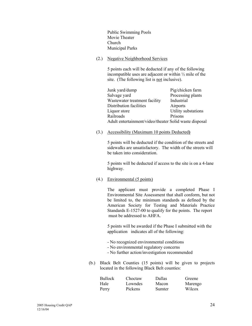Public Swimming Pools Movie Theater Church Municipal Parks

(2.) Negative Neighborhood Services

 5 points each will be deducted if any of the following incompatible uses are adjacent or within ½ mile of the site. (The following list is not inclusive).

| Junk yard/dump                                         | Pig/chicken farm    |
|--------------------------------------------------------|---------------------|
| Salvage yard                                           | Processing plants   |
| Wastewater treatment facility                          | Industrial          |
| Distribution facilities                                | Airports            |
| Liquor store                                           | Utility substations |
| Railroads                                              | Prisons             |
| Adult entertainment/video/theater Solid waste disposal |                     |

(3.) Accessibility (Maximum 10 points Deducted**)**

 5 points will be deducted if the condition of the streets and sidewalks are unsatisfactory. The width of the streets will be taken into consideration.

 5 points will be deducted if access to the site is on a 4-lane highway.

(4.) Environmental (5 points)

 The applicant must provide a completed Phase I Environmental Site Assessment that shall conform, but not be limited to, the minimum standards as defined by the American Society for Testing and Materials Practice Standards E-1527-00 to qualify for the points. The report must be addressed to AHFA.

5 points will be awarded if the Phase I submitted with the application indicates all of the following:

- No recognized environmental conditions
- No environmental regulatory concerns
- No further action/investigation recommended
- (b.) Black Belt Counties (15 points) will be given to projects located in the following Black Belt counties:

| <b>Bullock</b> | Choctaw | Dallas | Greene  |
|----------------|---------|--------|---------|
| Hale           | Lowndes | Macon  | Marengo |
| Perry          | Pickens | Sumter | Wilcox  |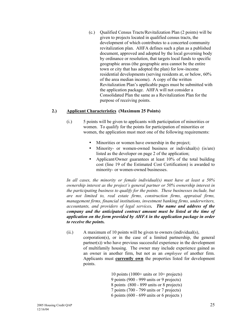(c.) Qualified Census Tracts/Revitalization Plan (2 points) will be given to projects located in qualified census tracts, the development of which contributes to a concerted community revitalization plan. AHFA defines such a plan as a published document, approved and adopted by the local governing body by ordinance or resolution, that targets local funds to specific geographic areas (the geographic area cannot be the entire town or city that has adopted the plan) for low-income residential developments (serving residents at, or below, 60% of the area median income). A copy of the written Revitalization Plan's applicable pages must be submitted with the application package. AHFA will not consider a Consolidated Plan the same as a Revitalization Plan for the purpose of receiving points.

#### **2.) Applicant Characteristics (Maximum 25 Points)**

- (i.) 5 points will be given to applicants with participation of minorities or women. To qualify for the points for participation of minorities or women, the application must meet one of the following requirements:
	- Minorities or women have ownership in the project;
	- Minority- or women-owned business or individual(s) (is/are) listed as the developer on page 2 of the application;
	- Applicant/Owner guarantees at least 10% of the total building cost (line 19 of the Estimated Cost Certification) is awarded to minority- or women-owned businesses.

 *In all cases, the minority or female individual(s) must have at least a 50% ownership interest as the project's general partner or 50% ownership interest in the participating business to qualify for the points. These businesses include, but are not limited to, real estate firms, construction firms, appraisal firms, management firms, financial institutions, investment banking firms, underwriters, accountants, and providers of legal services. The name and address of the company and the anticipated contract amount must be listed at the time of application on the form provided by AHFA in the application package in order to receive the points.*

(ii.) A maximum of 10 points will be given to owners (individual(s), corporation(s), or in the case of a limited partnership, the general partner(s)) who have previous successful experience in the development of multifamily housing. The owner may include experience gained as an owner in another firm, but not as an *employee* of another firm. Applicants must **currently own** the properties listed for development points.

> 10 points  $(1000+$  units or  $10+$  projects) 9 points (900 - 999 units or 9 projects) 8 points (800 - 899 units or 8 projects) 7 points (700 - 799 units or 7 projects) 6 points (600 - 699 units or 6 projects )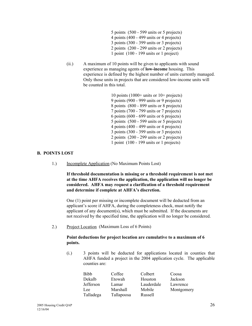- 5 points (500 599 units or 5 projects) 4 points (400 - 499 units or 4 projects) 3 points (300 - 399 units or 3 projects) 2 points (200 - 299 units or 2 projects) 1 point (100 - 199 units or 1 project)
- (ii.) A maximum of 10 points will be given to applicants with sound experience as managing agents of **low-income** housing. This experience is defined by the highest number of units currently managed. Only those units in projects that are considered low-income units will be counted in this total.

 10 points (1000+ units or 10+ projects) 9 points (900 - 999 units or 9 projects) 8 points (800 - 899 units or 8 projects) 7 points (700 - 799 units or 7 projects) 6 points (600 - 699 units or 6 projects) 5 points (500 - 599 units or 5 projects) 4 points (400 - 499 units or 4 projects) 3 points (300 - 399 units or 3 projects) 2 points (200 - 299 units or 2 projects) 1 point (100 - 199 units or 1 projects)

#### **B. POINTS LOST**

1.) Incomplete Application (No Maximum Points Lost)

 **If threshold documentation is missing or a threshold requirement is not met at the time AHFA receives the application, the application will no longer be considered. AHFA may request a clarification of a threshold requirement**  and determine if complete at **AHFA**'s discretion.

One (1) point per missing or incomplete document will be deducted from an applicant's score if AHFA, during the completeness check, must notify the applicant of any document(s), which must be submitted. If the documents are not received by the specified time, the application will no longer be considered.

2.) Project Location (Maximum Loss of 6 Points)

#### **Point deductions for project location are cumulative to a maximum of 6 points.**

 (i.) 3 points will be deducted for applications located in counties that AHFA funded a project in the 2004 application cycle. The applicable counties are:

| <b>Bibb</b> | Coffee     | Colbert    | Coosa      |
|-------------|------------|------------|------------|
| Dekalb      | Etowah     | Houston    | Jackson    |
| Jefferson   | Lamar      | Lauderdale | Lawrence   |
| Lee.        | Marshall   | Mobile     | Montgomery |
| Talladega   | Tallapoosa | Russell    |            |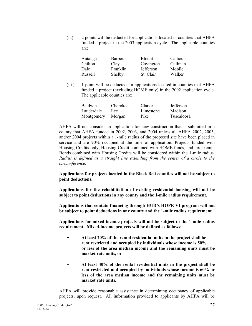(ii.) 2 points will be deducted for applications located in counties that AHFA funded a project in the 2003 application cycle. The applicable counties are:

| Autauga<br>Chilton | Barbour<br>Clay | <b>Blount</b><br>Covington | Calhoun<br>Cullman |
|--------------------|-----------------|----------------------------|--------------------|
| Dale               | <b>Franklin</b> | Jefferson                  | Mobile             |
| Russell            | Shelby          | St. Clair                  | Walker             |

 (iii.) 1 point will be deducted for applications located in counties that AHFA funded a project (excluding HOME only) in the 2002 application cycle. The applicable counties are:

| <b>Baldwin</b> | <b>Cherokee</b> | Clarke    | <b>Jefferson</b> |
|----------------|-----------------|-----------|------------------|
| Lauderdale     | Lee.            | Limestone | Madison          |
| Montgomery     | Morgan          | Pike      | Tuscaloosa       |

AHFA will not consider an application for new construction that is submitted in a county that AHFA funded in 2002, 2003, and 2004 unless all AHFA 2002, 2003, and/or 2004 projects within a 1-mile radius of the proposed site have been placed in service and are 90% occupied at the time of application. Projects funded with Housing Credits only, Housing Credit combined with HOME funds, and tax exempt Bonds combined with Housing Credits will be considered within the 1-mile radius. *Radius is defined as a straight line extending from the center of a circle to the circumference.* 

**Applications for projects located in the Black Belt counties will not be subject to point deductions.** 

**Applications for the rehabilitation of existing residential housing will not be subject to point deductions in any county and the 1-mile radius requirement.** 

**Applications that contain financing through HUDís HOPE VI program will not be subject to point deductions in any county and the 1-mile radius requirement.** 

**Applications for mixed-income projects will not be subject to the 1-mile radius requirement. Mixed-income projects will be defined as follows:** 

- • **At least 20% of the rental residential units in the project shall be rent restricted and occupied by individuals whose income is 50% or less of the area median income and the remaining units must be market rate units, or**
- • **At least 40% of the rental residential units in the project shall be rent restricted and occupied by individuals whose income is 60% or less of the area median income and the remaining units must be market rate units.**

AHFA will provide reasonable assistance in determining occupancy of applicable projects, upon request. All information provided to applicants by AHFA will be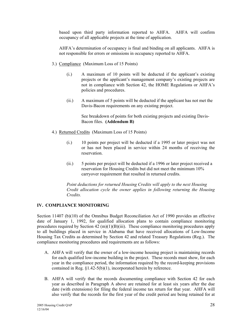based upon third party information reported to AHFA. AHFA will confirm occupancy of all applicable projects at the time of application.

AHFAís determination of occupancy is final and binding on all applicants. AHFA is not responsible for errors or omissions in occupancy reported to AHFA.

- 3.) Compliance (Maximum Loss of 15 Points)
	- $(i.)$  A maximum of 10 points will be deducted if the applicant's existing projects or the applicant's management company's existing projects are not in compliance with Section 42, the HOME Regulations or AHFA's policies and procedures.
	- (ii.) A maximum of 5 points will be deducted if the applicant has not met the Davis-Bacon requirements on any existing project.

 See breakdown of points for both existing projects and existing Davis- Bacon files. **(Addendum B)** 

- 4.) Returned Credits (Maximum Loss of 15 Points)
	- (i.) 10 points per project will be deducted if a 1995 or later project was not or has not been placed in service within 24 months of receiving the reservation.
	- (ii.) 5 points per project will be deducted if a 1996 or later project received a reservation for Housing Credits but did not meet the minimum 10% carryover requirement that resulted in returned credits.

 *Point deductions for returned Housing Credits will apply to the next Housing Credit allocation cycle the owner applies in following returning the Housing Credits.* 

#### **IV. COMPLIANCE MONITORING**

Section 11407 (b)(10) of the Omnibus Budget Reconciliation Act of 1990 provides an effective date of January 1, 1992, for qualified allocation plans to contain compliance monitoring procedures required by Section 42 (m)(1)(B)(iii). These compliance monitoring procedures apply to all buildings placed in service in Alabama that have received allocations of Low-Income Housing Tax Credits as determined by Section 42 and related Treasury Regulations (Reg.). The compliance monitoring procedures and requirements are as follows:

- A. AHFA will verify that the owner of a low-income housing project is maintaining records for each qualified low-income building in the project. These records must show, for each year in the compliance period, the information required by the record-keeping provisions contained in Reg. ß1.42-5(b)(1), incorporated herein by reference.
- B. AHFA will verify that the records documenting compliance with Section 42 for each year as described in Paragraph A above are retained for at least six years after the due date (with extensions) for filing the federal income tax return for that year. AHFA will also verify that the records for the first year of the credit period are being retained for at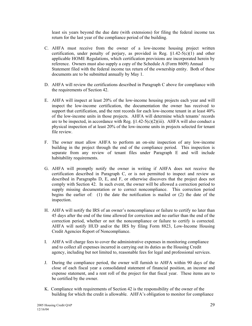least six years beyond the due date (with extensions) for filing the federal income tax return for the last year of the compliance period of the building.

- C. AHFA must receive from the owner of a low-income housing project written certification, under penalty of perjury, as provided in Reg. ß1.42-5(c)(1) and other applicable HOME Regulations, which certification provisions are incorporated herein by reference. Owners must also supply a copy of the Schedule A (Form 8609) Annual Statement filed with the federal income tax return of the ownership entity. Both of these documents are to be submitted annually by May 1.
- D. AHFA will review the certifications described in Paragraph C above for compliance with the requirements of Section 42.
- E. AHFA will inspect at least 20% of the low-income housing projects each year and will inspect the low-income certification, the documentation the owner has received to support that certification, and the rent records for each low-income tenant in at least 40% of the low-income units in those projects. AHFA will determine which tenantsí records are to be inspected, in accordance with Reg.  $\S1.42-5(c)(2)(iii)$ . AHFA will also conduct a physical inspection of at least 20% of the low-income units in projects selected for tenant file review.
- F. The owner must allow AHFA to perform an on-site inspection of any low-income building in the project through the end of the compliance period. This inspection is separate from any review of tenant files under Paragraph E and will include habitability requirements.
- G. AHFA will promptly notify the owner in writing if AHFA does not receive the certification described in Paragraph C, or is not permitted to inspect and review as described in Paragraphs D, E, and F, or otherwise discovers that the project does not comply with Section 42. In such event, the owner will be allowed a correction period to supply missing documentation or to correct noncompliance. This correction period begins the earlier of: (1) the date the notification is mailed or (2) the date of the inspection.
- H. AHFA will notify the IRS of an owner's noncompliance or failure to certify no later than 45 days after the end of the time allowed for correction and no earlier than the end of the correction period, whether or not the noncompliance or failure to certify is corrected. AHFA will notify HUD and/or the IRS by filing Form 8823, Low-Income Housing Credit Agencies Report of Noncompliance.
- I. AHFA will charge fees to cover the administrative expenses in monitoring compliance and to collect all expenses incurred in carrying out its duties as the Housing Credit agency, including but not limited to, reasonable fees for legal and professional services.
- J. During the compliance period, the owner will furnish to AHFA within 90 days of the close of each fiscal year a consolidated statement of financial position, an income and expense statement, and a rent roll of the project for that fiscal year. These items are to be certified by the owner.
- K. Compliance with requirements of Section 42 is the responsibility of the owner of the building for which the credit is allowable. AHFA's obligation to monitor for compliance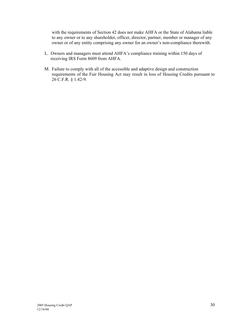with the requirements of Section 42 does not make AHFA or the State of Alabama liable to any owner or to any shareholder, officer, director, partner, member or manager of any owner or of any entity comprising any owner for an owner's non-compliance therewith.

- L. Owners and managers must attend AHFA's compliance training within 150 days of receiving IRS Form 8609 from AHFA.
- M. Failure to comply with all of the accessible and adaptive design and construction requirements of the Fair Housing Act may result in loss of Housing Credits pursuant to 26 C.F.R. ß 1.42-9.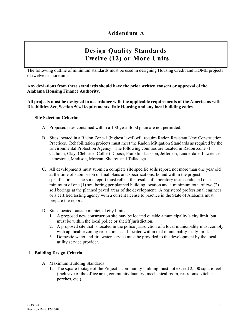# **Design Quality Standards Twelve (12) or More Units**

The following outline of minimum standards must be used in designing Housing Credit and HOME projects of twelve or more units.

**Any deviations from these standards should have the prior written consent or approval of the Alabama Housing Finance Authority.** 

**All projects must be designed in accordance with the applicable requirements of the Americans with Disabilities Act, Section 504 Requirements, Fair Housing and any local building codes.** 

#### I. **Site Selection Criteria:**

- A. Proposed sites contained within a 100-year flood plain are not permitted.
- B. Sites located in a Radon Zone-1 (highest level) will require Radon Resistant New Construction Practices. Rehabilitation projects must meet the Radon Mitigation Standards as required by the Environmental Protection Agency. The following counties are located in Radon Zone -1: Calhoun, Clay, Cleburne, Colbert, Coosa, Franklin, Jackson, Jefferson, Lauderdale, Lawrence, Limestone, Madison, Morgan, Shelby, and Talladega.
- C. All developments must submit a complete site specific soils report, not more than one year old at the time of submission of final plans and specifications, bound within the project specifications. The soils report must reflect the results of laboratory tests conducted on a minimum of one (1) soil boring per planned building location and a minimum total of two (2) soil borings at the planned paved areas of the development. A registered professional engineer or a certified testing agency with a current license to practice in the State of Alabama must prepare the report.
- D. Sites located outside municipal city limits:
	- 1. A proposed new construction site may be located outside a municipalityís city limit, but must be within the local police or sheriff jurisdiction.
	- 2. A proposed site that is located in the police jurisdiction of a local municipality must comply with applicable zoning restrictions as if located within that municipality's city limit.
	- 3. Domestic water and fire water service must be provided to the development by the local utility service provider.

#### II. **Building Design Criteria**

- A. Maximum Building Standards:
	- 1. The square footage of the Project's community building must not exceed 2,500 square feet (inclusive of the office area, community laundry, mechanical room, restrooms, kitchens, porches, etc.).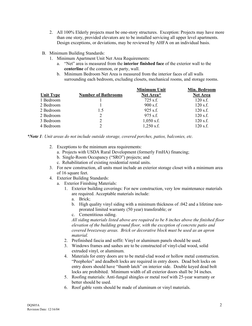- 2. All 100% Elderly projects must be one-story structures. Exception: Projects may have more than one story, provided elevators are to be installed servicing all upper level apartments. Design exceptions, or deviations, may be reviewed by AHFA on an individual basis.
- B. Minimum Building Standards:
	- 1. Minimum Apartment Unit Net Area Requirements:
		- a. "Net" area is measured from the **interior finished face** of the exterior wall to the **centerline** of the common, or party, wall.
		- b. Minimum Bedroom Net Area is measured from the interior faces of all walls surrounding each bedroom, excluding closets, mechanical rooms, and storage rooms.

**Minimum United** 

**Min. Bedroom**

|           |                            | Minimum Unit | MIN. Bearoom    |
|-----------|----------------------------|--------------|-----------------|
| Unit Type | <b>Number of Bathrooms</b> | Net Area*    | <b>Net Area</b> |
| 1 Bedroom |                            | $725$ s.f.   | $120$ s.f.      |
| 2 Bedroom |                            | $900$ s.f.   | $120$ s.f.      |
| 2 Bedroom | 1.5                        | $925$ s.f.   | $120$ s.f.      |
| 2 Bedroom | 2                          | $975$ s.f.   | $120$ s.f.      |
| 3 Bedroom | 2                          | $1,050$ s.f. | $120$ s.f.      |
| 4 Bedroom |                            | $1,250$ s.f. | $120$ s.f.      |

*\*Note 1: Unit areas do not include outside storage, covered porches, patios, balconies, etc.* 

- 2. Exceptions to the minimum area requirements:
	- a. Projects with USDA Rural Development (formerly FmHA) financing;
	- b. Single-Room Occupancy ("SRO") projects; and
	- c. Rehabilitation of existing residential rental units.
- 3. For new construction, all units must include an exterior storage closet with a minimum area of 16 square feet.
- 4. Exterior Building Standards:
	- a. Exterior Finishing Materials:
		- 1. Exterior building coverings: For new construction, very low maintenance materials are required. Acceptable materials include:
			- a. Brick;
			- b. High quality vinyl siding with a minimum thickness of .042 and a lifetime nonprorated limited warranty (50 year) transferable; or
			- c. Cementitious siding.

*All siding materials listed above are required to be 8 inches above the finished floor elevation of the building ground floor, with the exception of concrete patio and covered breezeway areas. Brick or decorative block must be used as an apron material.* 

- 2. Prefinished fascia and soffit: Vinyl or aluminum panels should be used.
- 3. Windows frames and sashes are to be constructed of vinyl-clad wood, solid extruded vinyl, or aluminum.
- 4. Materials for entry doors are to be metal-clad wood or hollow metal construction. ìPeepholesî and deadbolt locks are required in entry doors. Dead bolt locks on entry doors should have "thumb latch" on interior side. Double keyed dead bolt locks are prohibited. Minimum width of all exterior doors shall be 34 inches.
- 5. Roofing materials: Anti-fungal shingles or metal roof with 25-year warranty or better should be used.
- 6. Roof gable vents should be made of aluminum or vinyl materials.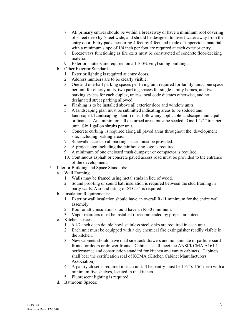- 7. All primary entries should be within a breezeway or have a minimum roof covering of 3-feet deep by 5-feet wide, and should be designed to divert water away from the entry door. Entry pads measuring 4 feet by 4 feet and made of impervious material with a minimum slope of  $1/4$  inch per foot are required at each exterior entry.
- 8. Breezeways functioning as fire exits must be constructed of concrete floor/decking material.
- 9. Exterior shutters are required on all 100% vinyl siding buildings.
- b. Other Exterior Standards:
	- 1. Exterior lighting is required at entry doors.
	- 2. Address numbers are to be clearly visible.
	- 3. One and one-half parking spaces per living unit required for family units, one space per unit for elderly units, two parking spaces for single family homes, and two parking spaces for each duplex, unless local code dictates otherwise, and no designated street parking allowed.
	- 4. Flashing is to be installed above all exterior door and window units.
	- 5. A landscaping plan must be submitted indicating areas to be sodded and landscaped. Landscaping plan(s) must follow any applicable landscape municipal ordinance. At a minimum, all disturbed areas must be seeded. One  $\overline{1}$  1/2" tree per unit. Six 1 gallon shrubs per unit.
	- 6. Concrete curbing is required along all paved areas throughout the development site, including parking areas.
	- 7. Sidewalk access to all parking spaces must be provided.
	- 8. A project sign including the fair housing logo is required.
	- 9. A minimum of one enclosed trash dumpster or compactor is required.
	- 10. Continuous asphalt or concrete paved access road must be provided to the entrance of the development.
- 5. Interior Building and Space Standards:
	- a. Wall Framing:
		- 1. Walls may be framed using metal studs in lieu of wood.
		- 2. Sound proofing or sound batt insulation is required between the stud framing in party walls. A sound rating of STC 54 is required.
	- b. Insulation Requirements:
		- 1. Exterior wall insulation should have an overall R-11 minimum for the entire wall assembly.
		- 2. Roof or attic insulation should have an R-30 minimum.
		- 3. Vapor retarders must be installed if recommended by project architect.
	- c. Kitchen spaces:
		- 1. 6 1/2-inch deep double bowl stainless steel sinks are required in each unit.
		- 2. Each unit must be equipped with a dry chemical fire extinguisher readily visible in the kitchen.
		- 3. New cabinets should have dual sidetrack drawers and no laminate or particleboard fronts for doors or drawer fronts. Cabinets shall meet the ANSI/KCMA A161.1 performance and construction standard for kitchen and vanity cabinets. Cabinets shall bear the certification seal of KCMA (Kitchen Cabinet Manufacturers Association).
		- 4. A pantry closet is required in each unit. The pantry must be  $1'6'' \times 1'6''$  deep with a minimum five shelves, located in the kitchen.
		- 5. Fluorescent lighting is required.
	- d. Bathroom Spaces: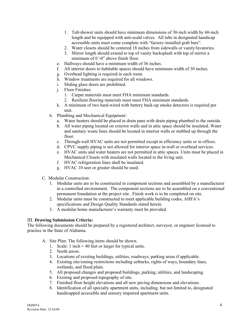- 1. Tub/shower units should have minimum dimensions of 30-inch width by 60-inch length and be equipped with anti-scald valves. All tubs in designated handicap accessible units must come complete with "factory-installed grab bars".
- 2. Water closets should be centered 18 inches from sidewalls or vanity/lavatories.
- 3. Mirror length should extend to top of vanity backsplash with top of mirror a minimum of  $6^{\circ}$ -0" above finish floor.
- e. Hallways should have a minimum width of 36 inches.
- f. All interior doors to habitable spaces should have minimum width of 30 inches.
- g. Overhead lighting is required in each room.
- h. Window treatments are required for all windows.
- i. Sliding glass doors are prohibited.
- j. Floor Finishes:
	- 1. Carpet materials must meet FHA minimum standards.
	- 2. Resilient flooring materials must meet FHA minimum standards.
- k. A minimum of two hard-wired with battery back-up smoke detectors is required per unit.
- 6. Plumbing and Mechanical Equipment:
	- a. Water heaters should be placed in drain pans with drain piping plumbed to the outside.
	- b. All water piping located on exterior walls and in attic space should be insulated. Water and sanitary waste lines should be located in interior walls or stubbed up through the floor.
	- c. Through-wall HVAC units are not permitted except in efficiency units or in offices.
	- d. CPVC supply piping is not allowed for interior space in-wall or overhead services.
	- e. HVAC units and water heaters are not permitted in attic spaces. Units must be placed in Mechanical Closets with insulated walls located in the living unit.
	- f. HVAC refrigeration lines shall be insulated.
	- g. HVAC 10 seer or greater should be used.
- C. Modular Construction:
	- 1. Modular units are to be constructed in component sections and assembled by a manufacturer in a controlled environment. The component sections are to be assembled on a conventional permanent foundation at the project site. Finish work is to be completed on site.
	- 2. Modular units must be constructed to meet applicable building codes, AHFA's specifications and Design Quality Standards stated herein.
	- 3. A modular home manufacturer's warranty must be provided.

#### III. **Drawing Submission Criteria:**

The following documents should be prepared by a registered architect, surveyor, or engineer licensed to practice in the State of Alabama.

- A. Site Plan: The following items should be shown.
	- 1. Scale: 1 inch = 40 feet or larger for typical units.
	- 2. North arrow.
	- 3. Locations of existing buildings, utilities, roadways, parking areas if applicable.
	- 4. Existing site/zoning restrictions including setbacks, rights of ways, boundary lines, wetlands, and flood plain.
	- 5. All proposed changes and proposed buildings, parking, utilities, and landscaping.
	- 6. Existing and proposed topography of site.
	- 7. Finished floor height elevations and all new paving dimensions and elevations.
	- 8. Identification of all specialty apartment units, including, but not limited to, designated handicapped accessible and sensory impaired apartment units.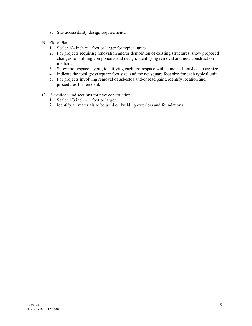- 9. Site accessibility design requirements.
- B. Floor Plans:
	- 1. Scale: 1/4 inch = 1 foot or larger for typical units.
	- 2. For projects requiring renovation and/or demolition of existing structures, show proposed changes to building components and design, identifying removal and new construction methods.
	- 3. Show room/space layout, identifying each room/space with name and finished space size.
	- 4. Indicate the total gross square foot size, and the net square foot size for each typical unit.
	- 5. For projects involving removal of asbestos and/or lead paint, identify location and procedures for removal.
- C. Elevations and sections for new construction:
	- 1. Scale:  $1/8$  inch = 1 foot or larger.
	- 2. Identify all materials to be used on building exteriors and foundations.